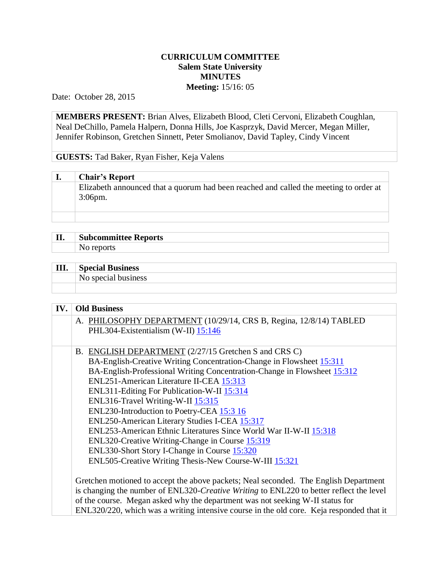## **CURRICULUM COMMITTEE Salem State University MINUTES Meeting:** 15/16: 05

Date: October 28, 2015

**MEMBERS PRESENT:** Brian Alves, Elizabeth Blood, Cleti Cervoni, Elizabeth Coughlan, Neal DeChillo, Pamela Halpern, Donna Hills, Joe Kasprzyk, David Mercer, Megan Miller, Jennifer Robinson, Gretchen Sinnett, Peter Smolianov, David Tapley, Cindy Vincent

**GUESTS:** Tad Baker, Ryan Fisher, Keja Valens

| <b>Chair's Report</b>                                                                 |
|---------------------------------------------------------------------------------------|
| Elizabeth announced that a quorum had been reached and called the meeting to order at |
| $3:06$ pm.                                                                            |
|                                                                                       |
|                                                                                       |

| II | <b>Subcommittee Reports</b> |  |
|----|-----------------------------|--|
|    | NI O                        |  |

| III. | <b>Special Business</b> |
|------|-------------------------|
|      | No special business     |
|      |                         |

| IV. | <b>Old Business</b>                                                                      |
|-----|------------------------------------------------------------------------------------------|
|     | A. PHILOSOPHY DEPARTMENT (10/29/14, CRS B, Regina, 12/8/14) TABLED                       |
|     | PHL304-Existentialism (W-II) 15:146                                                      |
|     |                                                                                          |
|     | B. ENGLISH DEPARTMENT (2/27/15 Gretchen S and CRS C)                                     |
|     | BA-English-Creative Writing Concentration-Change in Flowsheet 15:311                     |
|     | BA-English-Professional Writing Concentration-Change in Flowsheet 15:312                 |
|     | ENL251-American Literature II-CEA 15:313                                                 |
|     | ENL311-Editing For Publication-W-II 15:314                                               |
|     | ENL316-Travel Writing-W-II 15:315                                                        |
|     | ENL230-Introduction to Poetry-CEA 15:3 16                                                |
|     | ENL250-American Literary Studies I-CEA 15:317                                            |
|     | ENL253-American Ethnic Literatures Since World War II-W-II 15:318                        |
|     | ENL320-Creative Writing-Change in Course 15:319                                          |
|     | ENL330-Short Story I-Change in Course 15:320                                             |
|     | ENL505-Creative Writing Thesis-New Course-W-III 15:321                                   |
|     |                                                                                          |
|     | Gretchen motioned to accept the above packets; Neal seconded. The English Department     |
|     | is changing the number of ENL320-Creative Writing to ENL220 to better reflect the level  |
|     | of the course. Megan asked why the department was not seeking W-II status for            |
|     | ENL320/220, which was a writing intensive course in the old core. Keja responded that it |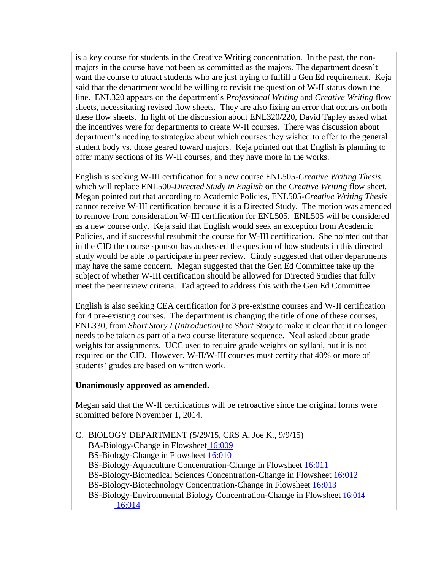is a key course for students in the Creative Writing concentration. In the past, the nonmajors in the course have not been as committed as the majors. The department doesn't want the course to attract students who are just trying to fulfill a Gen Ed requirement. Keja said that the department would be willing to revisit the question of W-II status down the line. ENL320 appears on the department's *Professional Writing* and *Creative Writing* flow sheets, necessitating revised flow sheets. They are also fixing an error that occurs on both these flow sheets. In light of the discussion about ENL320/220, David Tapley asked what the incentives were for departments to create W-II courses. There was discussion about department's needing to strategize about which courses they wished to offer to the general student body vs. those geared toward majors. Keja pointed out that English is planning to offer many sections of its W-II courses, and they have more in the works.

English is seeking W-III certification for a new course ENL505-*Creative Writing Thesis*, which will replace ENL500-*Directed Study in English* on the *Creative Writing* flow sheet. Megan pointed out that according to Academic Policies, ENL505-*Creative Writing Thesis* cannot receive W-III certification because it is a Directed Study. The motion was amended to remove from consideration W-III certification for ENL505. ENL505 will be considered as a new course only. Keja said that English would seek an exception from Academic Policies, and if successful resubmit the course for W-III certification. She pointed out that in the CID the course sponsor has addressed the question of how students in this directed study would be able to participate in peer review. Cindy suggested that other departments may have the same concern. Megan suggested that the Gen Ed Committee take up the subject of whether W-III certification should be allowed for Directed Studies that fully meet the peer review criteria. Tad agreed to address this with the Gen Ed Committee.

English is also seeking CEA certification for 3 pre-existing courses and W-II certification for 4 pre-existing courses. The department is changing the title of one of these courses, ENL330, from *Short Story I (Introduction)* to *Short Story* to make it clear that it no longer needs to be taken as part of a two course literature sequence. Neal asked about grade weights for assignments. UCC used to require grade weights on syllabi, but it is not required on the CID. However, W-II/W-III courses must certify that 40% or more of students' grades are based on written work.

## **Unanimously approved as amended.**

Megan said that the W-II certifications will be retroactive since the original forms were submitted before November 1, 2014.

| C. BIOLOGY DEPARTMENT $(5/29/15, CRS A, Joe K., 9/9/15)$                  |
|---------------------------------------------------------------------------|
| BA-Biology-Change in Flowsheet 16:009                                     |
| BS-Biology-Change in Flowsheet 16:010                                     |
| BS-Biology-Aquaculture Concentration-Change in Flowsheet 16:011           |
| BS-Biology-Biomedical Sciences Concentration-Change in Flowsheet 16:012   |
| BS-Biology-Biotechnology Concentration-Change in Flowsheet 16:013         |
| BS-Biology-Environmental Biology Concentration-Change in Flowsheet 16:014 |
|                                                                           |